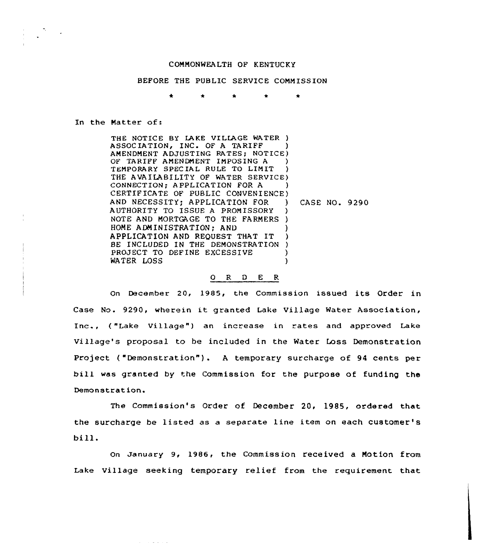## COMMONWEALTH OF KENTUCKY

## BEFORE THE PUBLIC SERVICE COMMISSION

 $\bullet$ 

## In the Matter of:

THE NOTICE BY LAKE VILLAGE WATER ) ASSOCIATION, INC. OF A TARIFF AMENDMENT ADJUSTING RATES; NOTICE) OF TARIFF AMENDMENT IMPOSING A ) TEMPORARY SPECIAL RULE TO LIMIT THE AVAILABILITY OF WATER SERVICE) CONNECTION; APPLICATION FOR A ) CERTIFICATE OF PUBLIC CONVENIENCE)<br>AND NECESSITY: APPLICATION FOR ) AND NECESSITY; APPLICATION FOR AUTHORITY TO ISSUE <sup>A</sup> PROMISSORY ) NOTE AND MORTGAGE TO THE FARMERS ) HOME ADMINISTRATION; AND APPLICATION AND REQUEST THAT IT ) BE INCLUDED IN THE DEMONSTRATION ) PROJECT TO DEFINE EXCESSIVE (1997) WATER LOSS CASE NO. 9290

## 0 R <sup>D</sup> E R

On December 20, 1985, the Commission issued its Order in Case No. 9290, wherein it granted Lake Village Water Association, Inc., ("Lake Village") an increase in rates and approved Lake Village's proposal to be included in the Water Loss Demonstration Project ("Demonstration"). A temporary surcharge of 94 cents per bill was granted by the Commission for the purpose of funding the Demonstration.

The Commission's Order of December 20, 198S, ordered that the surcharge be listed as a separate line item on each customer' bill.

On January 9, 1986, the Commission received a Motion from Lake Village seeking temporary relief from the requirement that

and the problems